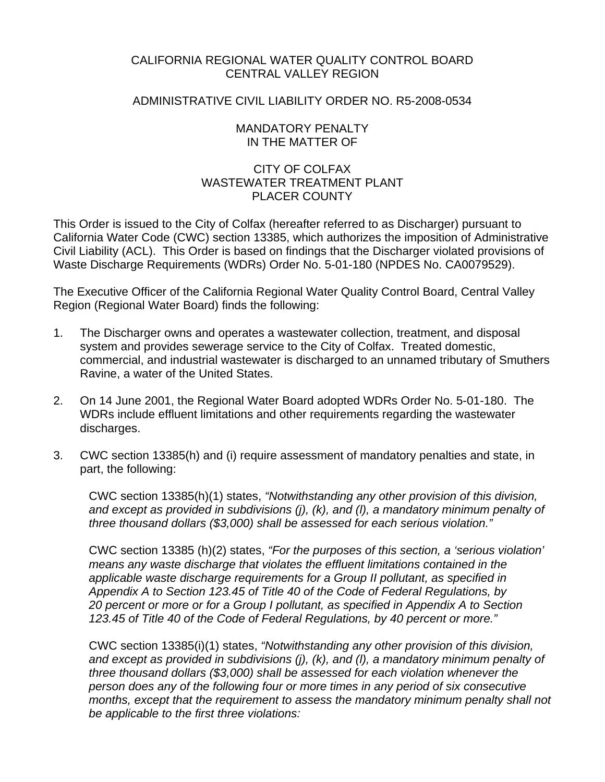# CALIFORNIA REGIONAL WATER QUALITY CONTROL BOARD CENTRAL VALLEY REGION

# ADMINISTRATIVE CIVIL LIABILITY ORDER NO. R5-2008-0534

## MANDATORY PENALTY IN THE MATTER OF

# CITY OF COLFAX WASTEWATER TREATMENT PI ANT PLACER COUNTY

This Order is issued to the City of Colfax (hereafter referred to as Discharger) pursuant to California Water Code (CWC) section 13385, which authorizes the imposition of Administrative Civil Liability (ACL). This Order is based on findings that the Discharger violated provisions of Waste Discharge Requirements (WDRs) Order No. 5-01-180 (NPDES No. CA0079529).

The Executive Officer of the California Regional Water Quality Control Board, Central Valley Region (Regional Water Board) finds the following:

- 1. The Discharger owns and operates a wastewater collection, treatment, and disposal system and provides sewerage service to the City of Colfax. Treated domestic, commercial, and industrial wastewater is discharged to an unnamed tributary of Smuthers Ravine, a water of the United States.
- 2. On 14 June 2001, the Regional Water Board adopted WDRs Order No. 5-01-180. The WDRs include effluent limitations and other requirements regarding the wastewater discharges.
- 3. CWC section 13385(h) and (i) require assessment of mandatory penalties and state, in part, the following:

CWC section 13385(h)(1) states, *"Notwithstanding any other provision of this division, and except as provided in subdivisions (j), (k), and (l), a mandatory minimum penalty of three thousand dollars (\$3,000) shall be assessed for each serious violation."* 

CWC section 13385 (h)(2) states, *"For the purposes of this section, a 'serious violation' means any waste discharge that violates the effluent limitations contained in the applicable waste discharge requirements for a Group II pollutant, as specified in Appendix A to Section 123.45 of Title 40 of the Code of Federal Regulations, by 20 percent or more or for a Group I pollutant, as specified in Appendix A to Section 123.45 of Title 40 of the Code of Federal Regulations, by 40 percent or more."* 

CWC section 13385(i)(1) states, *"Notwithstanding any other provision of this division, and except as provided in subdivisions (j), (k), and (l), a mandatory minimum penalty of three thousand dollars (\$3,000) shall be assessed for each violation whenever the person does any of the following four or more times in any period of six consecutive months, except that the requirement to assess the mandatory minimum penalty shall not be applicable to the first three violations:*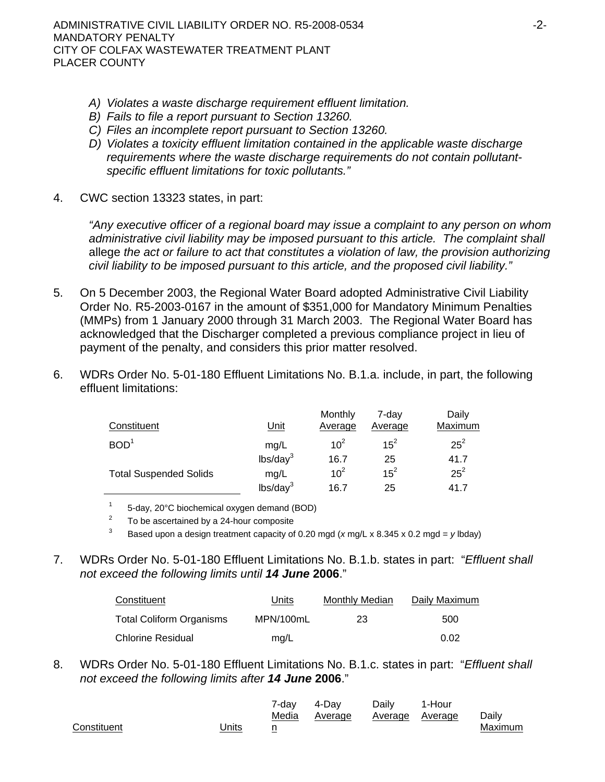- *A) Violates a waste discharge requirement effluent limitation.*
- *B) Fails to file a report pursuant to Section 13260.*
- *C) Files an incomplete report pursuant to Section 13260.*
- *D) Violates a toxicity effluent limitation contained in the applicable waste discharge requirements where the waste discharge requirements do not contain pollutantspecific effluent limitations for toxic pollutants."*
- 4. CWC section 13323 states, in part:

*"Any executive officer of a regional board may issue a complaint to any person on whom administrative civil liability may be imposed pursuant to this article. The complaint shall*  allege *the act or failure to act that constitutes a violation of law, the provision authorizing civil liability to be imposed pursuant to this article, and the proposed civil liability."*

- 5. On 5 December 2003, the Regional Water Board adopted Administrative Civil Liability Order No. R5-2003-0167 in the amount of \$351,000 for Mandatory Minimum Penalties (MMPs) from 1 January 2000 through 31 March 2003. The Regional Water Board has acknowledged that the Discharger completed a previous compliance project in lieu of payment of the penalty, and considers this prior matter resolved.
- 6. WDRs Order No. 5-01-180 Effluent Limitations No. B.1.a. include, in part, the following effluent limitations:

| Constituent                   | <u>Unit</u>          | Monthly<br><u>Average</u> | 7-dav<br><b>Average</b> | Daily<br>Maximum |
|-------------------------------|----------------------|---------------------------|-------------------------|------------------|
| BOD <sup>1</sup>              | mg/L                 | 10 <sup>2</sup>           | $15^{2}$                | $25^2$           |
|                               | lbs/day <sup>3</sup> | 16.7                      | 25                      | 41.7             |
| <b>Total Suspended Solids</b> | mg/L                 | 10 <sup>2</sup>           | $15^2$                  | $25^2$           |
|                               | lbs/day <sup>3</sup> | 16.7                      | 25                      | 41.7             |

1 <sup>1</sup> 5-day, 20°C biochemical oxygen demand (BOD)<sup>2</sup> To be accertained by a 24-bour composite

- <sup>2</sup> To be ascertained by a 24-hour composite<br><sup>3</sup> Based upon a design treatment capacity of 0.20 mgd (*x* mg/L x 8.345 x 0.2 mgd = *y* lbday)
- 7. WDRs Order No. 5-01-180 Effluent Limitations No. B.1.b. states in part: "*Effluent shall not exceed the following limits until 14 June* **2006**."

| Constituent              | Units     | <b>Monthly Median</b> | Daily Maximum |
|--------------------------|-----------|-----------------------|---------------|
| Total Coliform Organisms | MPN/100mL | 23                    | 500           |
| <b>Chlorine Residual</b> | mq/L      |                       | 0.02          |

8. WDRs Order No. 5-01-180 Effluent Limitations No. B.1.c. states in part: "*Effluent shall not exceed the following limits after 14 June* **2006**."

|             |       | 7-dav | 4-Dav   | Daily           | 1-Hour |         |
|-------------|-------|-------|---------|-----------------|--------|---------|
|             |       | Media | Average | Average Average |        | Daily   |
| Constituent | Jnits | --    |         |                 |        | Maximum |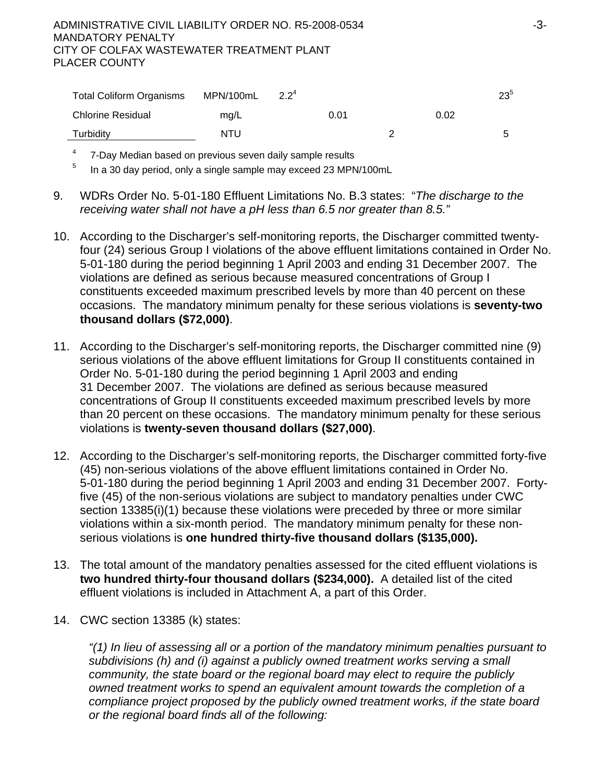ADMINISTRATIVE CIVIL LIABILITY ORDER NO. R5-2008-0534 -3- MANDATORY PENALTY CITY OF COLFAX WASTEWATER TREATMENT PLANT PLACER COUNTY

| <b>Total Coliform Organisms</b> | MPN/100mL | $2.2^4$ |      | $23^{\circ}$ |
|---------------------------------|-----------|---------|------|--------------|
| Chlorine Residual               | mg/L      | 0.01    | 0.02 |              |
| Turbidity                       | NTU       |         |      | ∽            |

 $4$  7-Day Median based on previous seven daily sample results

5 In a 30 day period, only a single sample may exceed 23 MPN/100mL

- 9. WDRs Order No. 5-01-180 Effluent Limitations No. B.3 states: "*The discharge to the receiving water shall not have a pH less than 6.5 nor greater than 8.5."*
- 10. According to the Discharger's self-monitoring reports, the Discharger committed twentyfour (24) serious Group I violations of the above effluent limitations contained in Order No. 5-01-180 during the period beginning 1 April 2003 and ending 31 December 2007. The violations are defined as serious because measured concentrations of Group I constituents exceeded maximum prescribed levels by more than 40 percent on these occasions. The mandatory minimum penalty for these serious violations is **seventy-two thousand dollars (\$72,000)**.
- 11. According to the Discharger's self-monitoring reports, the Discharger committed nine (9) serious violations of the above effluent limitations for Group II constituents contained in Order No. 5-01-180 during the period beginning 1 April 2003 and ending 31 December 2007. The violations are defined as serious because measured concentrations of Group II constituents exceeded maximum prescribed levels by more than 20 percent on these occasions. The mandatory minimum penalty for these serious violations is **twenty-seven thousand dollars (\$27,000)**.
- 12. According to the Discharger's self-monitoring reports, the Discharger committed forty-five (45) non-serious violations of the above effluent limitations contained in Order No. 5-01-180 during the period beginning 1 April 2003 and ending 31 December 2007. Fortyfive (45) of the non-serious violations are subject to mandatory penalties under CWC section 13385(i)(1) because these violations were preceded by three or more similar violations within a six-month period. The mandatory minimum penalty for these nonserious violations is **one hundred thirty-five thousand dollars (\$135,000).**
- 13. The total amount of the mandatory penalties assessed for the cited effluent violations is **two hundred thirty-four thousand dollars (\$234,000).** A detailed list of the cited effluent violations is included in Attachment A, a part of this Order.
- 14. CWC section 13385 (k) states:

*"(1) In lieu of assessing all or a portion of the mandatory minimum penalties pursuant to subdivisions (h) and (i) against a publicly owned treatment works serving a small community, the state board or the regional board may elect to require the publicly owned treatment works to spend an equivalent amount towards the completion of a compliance project proposed by the publicly owned treatment works, if the state board or the regional board finds all of the following:*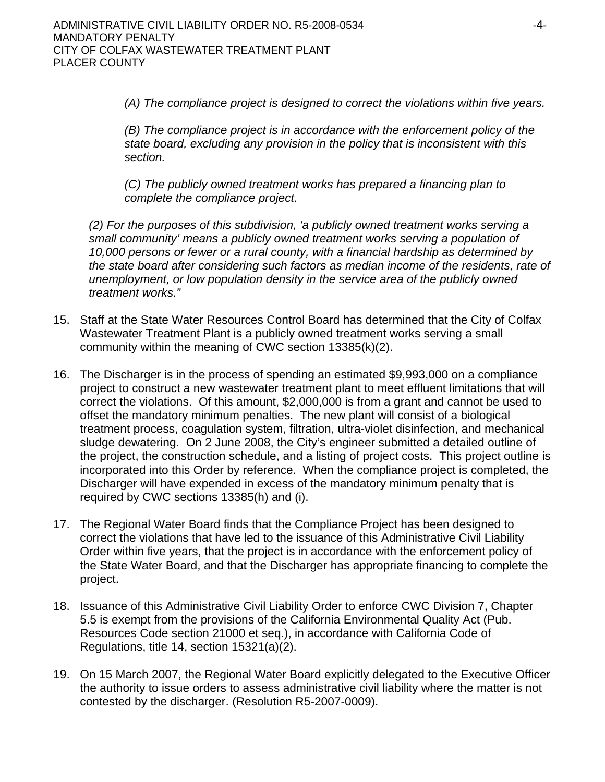*(A) The compliance project is designed to correct the violations within five years.* 

*(B) The compliance project is in accordance with the enforcement policy of the state board, excluding any provision in the policy that is inconsistent with this section.* 

*(C) The publicly owned treatment works has prepared a financing plan to complete the compliance project.* 

*(2) For the purposes of this subdivision, 'a publicly owned treatment works serving a small community' means a publicly owned treatment works serving a population of 10,000 persons or fewer or a rural county, with a financial hardship as determined by the state board after considering such factors as median income of the residents, rate of unemployment, or low population density in the service area of the publicly owned treatment works."* 

- 15. Staff at the State Water Resources Control Board has determined that the City of Colfax Wastewater Treatment Plant is a publicly owned treatment works serving a small community within the meaning of CWC section 13385(k)(2).
- 16. The Discharger is in the process of spending an estimated \$9,993,000 on a compliance project to construct a new wastewater treatment plant to meet effluent limitations that will correct the violations. Of this amount, \$2,000,000 is from a grant and cannot be used to offset the mandatory minimum penalties. The new plant will consist of a biological treatment process, coagulation system, filtration, ultra-violet disinfection, and mechanical sludge dewatering. On 2 June 2008, the City's engineer submitted a detailed outline of the project, the construction schedule, and a listing of project costs. This project outline is incorporated into this Order by reference. When the compliance project is completed, the Discharger will have expended in excess of the mandatory minimum penalty that is required by CWC sections 13385(h) and (i).
- 17. The Regional Water Board finds that the Compliance Project has been designed to correct the violations that have led to the issuance of this Administrative Civil Liability Order within five years, that the project is in accordance with the enforcement policy of the State Water Board, and that the Discharger has appropriate financing to complete the project.
- 18. Issuance of this Administrative Civil Liability Order to enforce CWC Division 7, Chapter 5.5 is exempt from the provisions of the California Environmental Quality Act (Pub. Resources Code section 21000 et seq.), in accordance with California Code of Regulations, title 14, section 15321(a)(2).
- 19. On 15 March 2007, the Regional Water Board explicitly delegated to the Executive Officer the authority to issue orders to assess administrative civil liability where the matter is not contested by the discharger. (Resolution R5-2007-0009).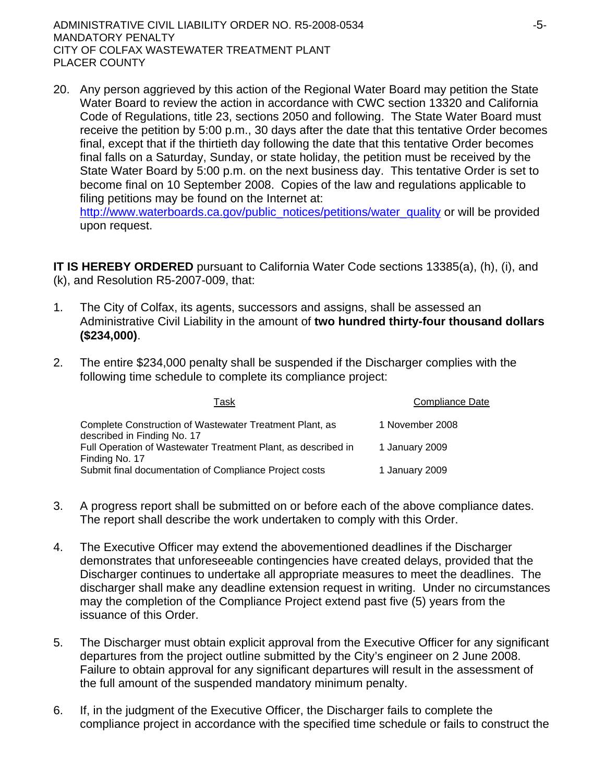20. Any person aggrieved by this action of the Regional Water Board may petition the State Water Board to review the action in accordance with CWC section 13320 and California Code of Regulations, title 23, sections 2050 and following. The State Water Board must receive the petition by 5:00 p.m., 30 days after the date that this tentative Order becomes final, except that if the thirtieth day following the date that this tentative Order becomes final falls on a Saturday, Sunday, or state holiday, the petition must be received by the State Water Board by 5:00 p.m. on the next business day. This tentative Order is set to become final on 10 September 2008. Copies of the law and regulations applicable to filing petitions may be found on the Internet at:

[http://www.waterboards.ca.gov/public\\_notices/petitions/water\\_quality](http://www.waterboards.ca.gov/public_notices/petitions/water_quality) or will be provided upon request.

**IT IS HEREBY ORDERED** pursuant to California Water Code sections 13385(a), (h), (i), and (k), and Resolution R5-2007-009, that:

- 1. The City of Colfax, its agents, successors and assigns, shall be assessed an Administrative Civil Liability in the amount of **two hundred thirty-four thousand dollars (\$234,000)**.
- 2. The entire \$234,000 penalty shall be suspended if the Discharger complies with the following time schedule to complete its compliance project:

| Task                                                                                   | <b>Compliance Date</b> |
|----------------------------------------------------------------------------------------|------------------------|
| Complete Construction of Wastewater Treatment Plant, as<br>described in Finding No. 17 | 1 November 2008        |
| Full Operation of Wastewater Treatment Plant, as described in<br>Finding No. 17        | 1 January 2009         |
| Submit final documentation of Compliance Project costs                                 | 1 January 2009         |

- 3. A progress report shall be submitted on or before each of the above compliance dates. The report shall describe the work undertaken to comply with this Order.
- 4. The Executive Officer may extend the abovementioned deadlines if the Discharger demonstrates that unforeseeable contingencies have created delays, provided that the Discharger continues to undertake all appropriate measures to meet the deadlines. The discharger shall make any deadline extension request in writing. Under no circumstances may the completion of the Compliance Project extend past five (5) years from the issuance of this Order.
- 5. The Discharger must obtain explicit approval from the Executive Officer for any significant departures from the project outline submitted by the City's engineer on 2 June 2008. Failure to obtain approval for any significant departures will result in the assessment of the full amount of the suspended mandatory minimum penalty.
- 6. If, in the judgment of the Executive Officer, the Discharger fails to complete the compliance project in accordance with the specified time schedule or fails to construct the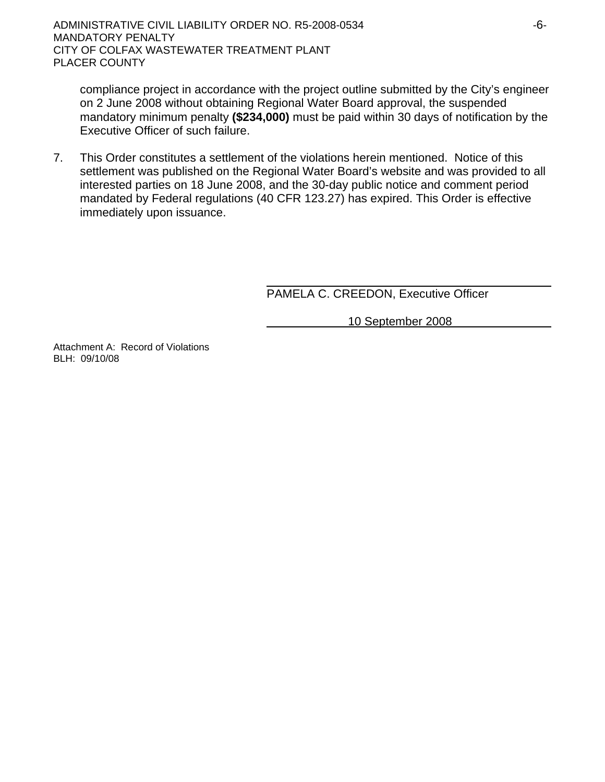compliance project in accordance with the project outline submitted by the City's engineer on 2 June 2008 without obtaining Regional Water Board approval, the suspended mandatory minimum penalty **(\$234,000)** must be paid within 30 days of notification by the Executive Officer of such failure.

7. This Order constitutes a settlement of the violations herein mentioned. Notice of this settlement was published on the Regional Water Board's website and was provided to all interested parties on 18 June 2008, and the 30-day public notice and comment period mandated by Federal regulations (40 CFR 123.27) has expired. This Order is effective immediately upon issuance.

PAMELA C. CREEDON, Executive Officer

10 September 2008

Attachment A: Record of Violations BLH: 09/10/08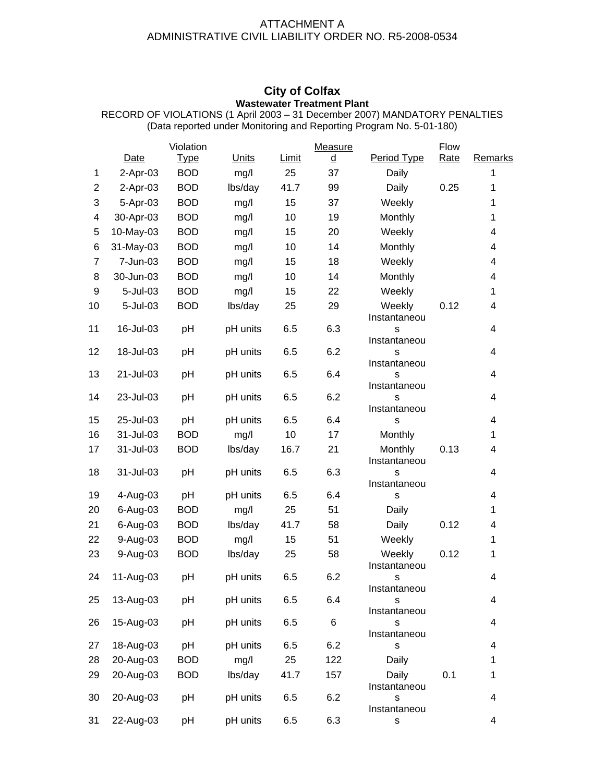## ATTACHMENT A ADMINISTRATIVE CIVIL LIABILITY ORDER NO. R5-2008-0534

## **City of Colfax Wastewater Treatment Plant**

|                |           | Violation   |              |              | Measure  |                        | Flow        |                          |
|----------------|-----------|-------------|--------------|--------------|----------|------------------------|-------------|--------------------------|
|                | Date      | <u>Type</u> | <b>Units</b> | <b>Limit</b> | <u>d</u> | Period Type            | <b>Rate</b> | <b>Remarks</b>           |
| 1              | 2-Apr-03  | <b>BOD</b>  | mg/l         | 25           | 37       | Daily                  |             | 1                        |
| $\overline{2}$ | 2-Apr-03  | <b>BOD</b>  | lbs/day      | 41.7         | 99       | Daily                  | 0.25        | 1                        |
| 3              | 5-Apr-03  | <b>BOD</b>  | mg/l         | 15           | 37       | Weekly                 |             | 1                        |
| 4              | 30-Apr-03 | <b>BOD</b>  | mg/l         | 10           | 19       | Monthly                |             | $\mathbf{1}$             |
| 5              | 10-May-03 | <b>BOD</b>  | mg/l         | 15           | 20       | Weekly                 |             | 4                        |
| 6              | 31-May-03 | <b>BOD</b>  | mg/l         | 10           | 14       | Monthly                |             | 4                        |
| $\overline{7}$ | 7-Jun-03  | <b>BOD</b>  | mg/l         | 15           | 18       | Weekly                 |             | 4                        |
| 8              | 30-Jun-03 | <b>BOD</b>  | mg/l         | 10           | 14       | Monthly                |             | 4                        |
| 9              | 5-Jul-03  | <b>BOD</b>  | mg/l         | 15           | 22       | Weekly                 |             | 1                        |
| 10             | 5-Jul-03  | <b>BOD</b>  | lbs/day      | 25           | 29       | Weekly<br>Instantaneou | 0.12        | 4                        |
| 11             | 16-Jul-03 | pH          | pH units     | 6.5          | 6.3      | s                      |             | 4                        |
| 12             | 18-Jul-03 | pH          | pH units     | 6.5          | 6.2      | Instantaneou<br>s      |             | 4                        |
|                |           |             |              |              |          | Instantaneou           |             |                          |
| 13             | 21-Jul-03 | pH          | pH units     | 6.5          | 6.4      | s                      |             | 4                        |
|                |           |             |              |              |          | Instantaneou           |             |                          |
| 14             | 23-Jul-03 | pH          | pH units     | 6.5          | 6.2      | s<br>Instantaneou      |             | 4                        |
| 15             | 25-Jul-03 | pH          | pH units     | 6.5          | 6.4      | S                      |             | 4                        |
| 16             | 31-Jul-03 | <b>BOD</b>  | mg/l         | 10           | 17       | Monthly                |             | $\mathbf{1}$             |
| 17             | 31-Jul-03 | <b>BOD</b>  | lbs/day      | 16.7         | 21       | Monthly                | 0.13        | 4                        |
|                |           |             |              |              |          | Instantaneou           |             |                          |
| 18             | 31-Jul-03 | pH          | pH units     | 6.5          | 6.3      | S                      |             | 4                        |
| 19             | 4-Aug-03  | pH          | pH units     | 6.5          | 6.4      | Instantaneou<br>s      |             | 4                        |
| 20             | 6-Aug-03  | <b>BOD</b>  | mg/l         | 25           | 51       | Daily                  |             | 1                        |
| 21             | 6-Aug-03  | <b>BOD</b>  | lbs/day      | 41.7         | 58       | Daily                  | 0.12        | 4                        |
| 22             | 9-Aug-03  | <b>BOD</b>  | mg/l         | 15           | 51       | Weekly                 |             | 1                        |
| 23             | 9-Aug-03  | <b>BOD</b>  |              | 25           | 58       | Weekly                 | 0.12        | 1                        |
|                |           |             | lbs/day      |              |          | Instantaneou           |             |                          |
| 24             | 11-Aug-03 | pH          | pH units     | 6.5          | 6.2      | - S                    |             | 4                        |
|                |           |             |              |              |          | Instantaneou           |             |                          |
| 25             | 13-Aug-03 | pH          | pH units     | 6.5          | 6.4      | s                      |             | 4                        |
| 26             | 15-Aug-03 | pH          | pH units     | 6.5          | 6        | Instantaneou<br>s      |             | 4                        |
|                |           |             |              |              |          | Instantaneou           |             |                          |
| 27             | 18-Aug-03 | pH          | pH units     | 6.5          | 6.2      | s                      |             | 4                        |
| 28             | 20-Aug-03 | <b>BOD</b>  | mg/l         | 25           | 122      | Daily                  |             | 1                        |
| 29             | 20-Aug-03 | <b>BOD</b>  | lbs/day      | 41.7         | 157      | Daily                  | 0.1         | 1                        |
|                |           |             |              |              |          | Instantaneou           |             |                          |
| 30             | 20-Aug-03 | pH          | pH units     | 6.5          | 6.2      | s<br>Instantaneou      |             | $\overline{\mathcal{A}}$ |
| 31             | 22-Aug-03 | pH          | pH units     | 6.5          | 6.3      | s                      |             | 4                        |
|                |           |             |              |              |          |                        |             |                          |

RECORD OF VIOLATIONS (1 April 2003 – 31 December 2007) MANDATORY PENALTIES (Data reported under Monitoring and Reporting Program No. 5-01-180)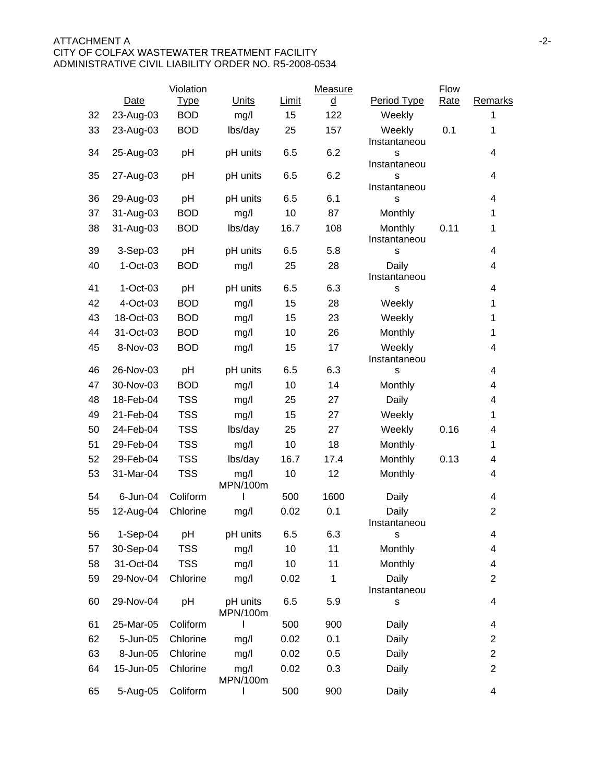### ATTACHMENT A and the set of the set of the set of the set of the set of the set of the set of the set of the set of the set of the set of the set of the set of the set of the set of the set of the set of the set of the set CITY OF COLFAX WASTEWATER TREATMENT FACILITY ADMINISTRATIVE CIVIL LIABILITY ORDER NO. R5-2008-0534

|    |           | Violation   |                      |              | Measure  |                         | <b>Flow</b> |                |
|----|-----------|-------------|----------------------|--------------|----------|-------------------------|-------------|----------------|
|    | Date      | <b>Type</b> | Units                | <b>Limit</b> | <u>d</u> | Period Type             | Rate        | Remarks        |
| 32 | 23-Aug-03 | <b>BOD</b>  | mg/l                 | 15           | 122      | Weekly                  |             | 1              |
| 33 | 23-Aug-03 | <b>BOD</b>  | lbs/day              | 25           | 157      | Weekly<br>Instantaneou  | 0.1         | $\mathbf 1$    |
| 34 | 25-Aug-03 | pH          | pH units             | 6.5          | 6.2      | S<br>Instantaneou       |             | 4              |
| 35 | 27-Aug-03 | pH          | pH units             | 6.5          | 6.2      | s<br>Instantaneou       |             | 4              |
| 36 | 29-Aug-03 | pH          | pH units             | 6.5          | 6.1      | s                       |             | 4              |
| 37 | 31-Aug-03 | <b>BOD</b>  | mg/l                 | 10           | 87       | Monthly                 |             | 1              |
| 38 | 31-Aug-03 | <b>BOD</b>  | lbs/day              | 16.7         | 108      | Monthly<br>Instantaneou | 0.11        | 1              |
| 39 | 3-Sep-03  | pH          | pH units             | 6.5          | 5.8      | S                       |             | 4              |
| 40 | 1-Oct-03  | <b>BOD</b>  | mg/l                 | 25           | 28       | Daily<br>Instantaneou   |             | 4              |
| 41 | 1-Oct-03  | pH          | pH units             | 6.5          | 6.3      | S                       |             | 4              |
| 42 | 4-Oct-03  | <b>BOD</b>  | mg/l                 | 15           | 28       | Weekly                  |             | 1              |
| 43 | 18-Oct-03 | <b>BOD</b>  | mg/l                 | 15           | 23       | Weekly                  |             | 1              |
| 44 | 31-Oct-03 | <b>BOD</b>  | mg/l                 | 10           | 26       | Monthly                 |             | $\mathbf{1}$   |
| 45 | 8-Nov-03  | <b>BOD</b>  | mg/l                 | 15           | 17       | Weekly<br>Instantaneou  |             | 4              |
| 46 | 26-Nov-03 | pH          | pH units             | 6.5          | 6.3      | S                       |             | 4              |
| 47 | 30-Nov-03 | <b>BOD</b>  | mg/l                 | 10           | 14       | Monthly                 |             | 4              |
| 48 | 18-Feb-04 | <b>TSS</b>  | mg/l                 | 25           | 27       | Daily                   |             | 4              |
| 49 | 21-Feb-04 | <b>TSS</b>  | mg/l                 | 15           | 27       | Weekly                  |             | 1              |
| 50 | 24-Feb-04 | <b>TSS</b>  | lbs/day              | 25           | 27       | Weekly                  | 0.16        | 4              |
| 51 | 29-Feb-04 | <b>TSS</b>  | mg/l                 | 10           | 18       | Monthly                 |             | 1              |
| 52 | 29-Feb-04 | <b>TSS</b>  | lbs/day              | 16.7         | 17.4     | <b>Monthly</b>          | 0.13        | 4              |
| 53 | 31-Mar-04 | <b>TSS</b>  | mg/l<br>MPN/100m     | 10           | 12       | Monthly                 |             | 4              |
| 54 | 6-Jun-04  | Coliform    |                      | 500          | 1600     | Daily                   |             | 4              |
| 55 | 12-Aug-04 | Chlorine    | mg/l                 | 0.02         | 0.1      | Daily<br>Instantaneou   |             | $\overline{2}$ |
| 56 | 1-Sep-04  | pH          | pH units             | 6.5          | 6.3      | S                       |             | 4              |
| 57 | 30-Sep-04 | <b>TSS</b>  | mg/l                 | 10           | 11       | Monthly                 |             | 4              |
| 58 | 31-Oct-04 | <b>TSS</b>  | mg/l                 | 10           | 11       | Monthly                 |             | 4              |
| 59 | 29-Nov-04 | Chlorine    | mg/l                 | 0.02         | 1        | Daily<br>Instantaneou   |             | $\overline{2}$ |
| 60 | 29-Nov-04 | pH          | pH units<br>MPN/100m | 6.5          | 5.9      | S                       |             | 4              |
| 61 | 25-Mar-05 | Coliform    |                      | 500          | 900      | Daily                   |             | 4              |
| 62 | 5-Jun-05  | Chlorine    | mg/l                 | 0.02         | 0.1      | Daily                   |             | 2              |
| 63 | 8-Jun-05  | Chlorine    | mg/l                 | 0.02         | 0.5      | Daily                   |             | $\overline{2}$ |
| 64 | 15-Jun-05 | Chlorine    | mg/l<br>MPN/100m     | 0.02         | 0.3      | Daily                   |             | $\overline{c}$ |
| 65 | 5-Aug-05  | Coliform    |                      | 500          | 900      | Daily                   |             | 4              |